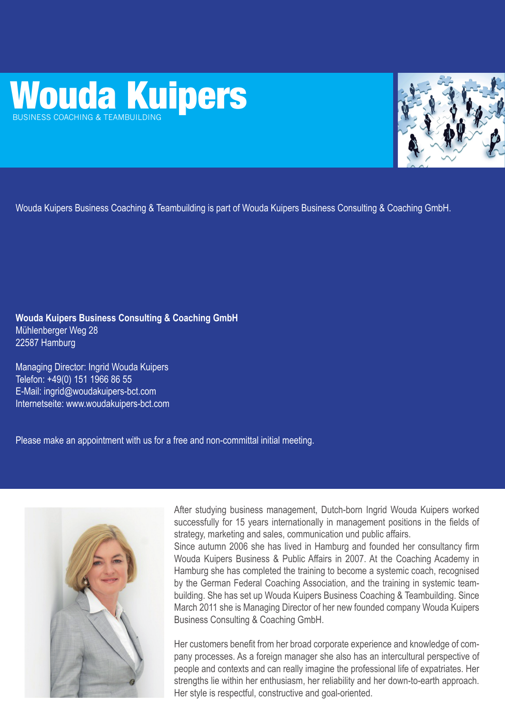# Wouda Kuipers



Wouda Kuipers Business Coaching & Teambuilding is part of Wouda Kuipers Business Consulting & Coaching GmbH.

**Wouda Kuipers Business Consulting & Coaching GmbH** Mühlenberger Weg 28 22587 Hamburg

Managing Director: Ingrid Wouda Kuipers Telefon: +49(0) 151 1966 86 55 E-Mail: ingrid@woudakuipers-bct.com Internetseite: www.woudakuipers-bct.com

Please make an appointment with us for a free and non-committal initial meeting.



After studying business management, Dutch-born Ingrid Wouda Kuipers worked successfully for 15 years internationally in management positions in the fields of strategy, marketing and sales, communication und public affairs. Since autumn 2006 she has lived in Hamburg and founded her consultancy firm Wouda Kuipers Business & Public Affairs in 2007. At the Coaching Academy in Hamburg she has completed the training to become a systemic coach, recognised by the German Federal Coaching Association, and the training in systemic teambuilding. She has set up Wouda Kuipers Business Coaching & Teambuilding. Since March 2011 she is Managing Director of her new founded company Wouda Kuipers Business Consulting & Coaching GmbH.

Her customers benefit from her broad corporate experience and knowledge of company processes. As a foreign manager she also has an intercultural perspective of people and contexts and can really imagine the professional life of expatriates. Her strengths lie within her enthusiasm, her reliability and her down-to-earth approach. Her style is respectful, constructive and goal-oriented.